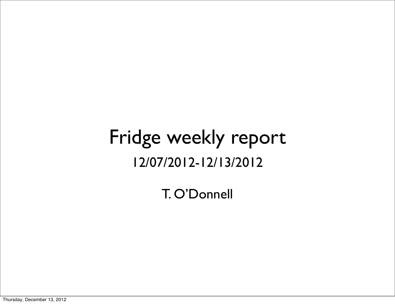## Fridge weekly report 12/07/2012-12/13/2012

T. O'Donnell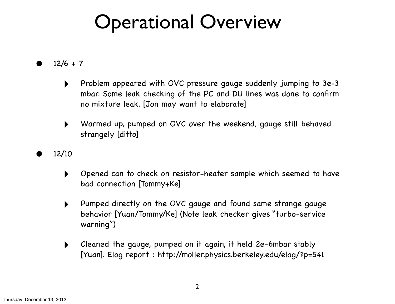## Operational Overview

 $12/6 + 7$ 

- ‣ Problem appeared with OVC pressure gauge suddenly jumping to 3e-3 mbar. Some leak checking of the PC and DU lines was done to confirm no mixture leak. [Jon may want to elaborate]
- ‣ Warmed up, pumped on OVC over the weekend, gauge still behaved strangely [ditto]
- 12/10
	- ‣ Opened can to check on resistor-heater sample which seemed to have bad connection [Tommy+Ke]
	- ‣ Pumped directly on the OVC gauge and found same strange gauge behavior [Yuan/Tommy/Ke] (Note leak checker gives "turbo-service warning")
	- ‣ Cleaned the gauge, pumped on it again, it held 2e-6mbar stably [Yuan]. Elog report :<http://moller.physics.berkeley.edu/elog/?p=541>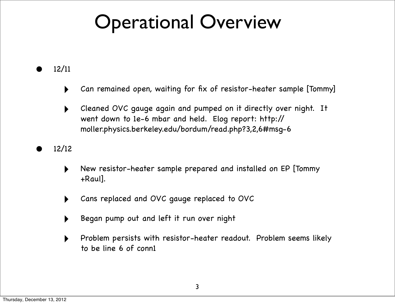## Operational Overview

• 12/11

- Can remained open, waiting for fix of resistor-heater sample [Tommy]
- ‣ Cleaned OVC gauge again and pumped on it directly over night. It went down to 1e-6 mbar and held. Elog report: http:// moller.physics.berkeley.edu/bordum/read.php?3,2,6#msg-6

#### • 12/12

- ‣ New resistor-heater sample prepared and installed on EP [Tommy +Raul].
- ‣ Cans replaced and OVC gauge replaced to OVC
- ‣ Began pump out and left it run over night
- ‣ Problem persists with resistor-heater readout. Problem seems likely to be line 6 of conn1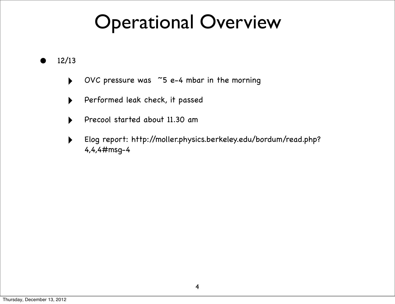## Operational Overview

• 12/13

- ‣ OVC pressure was ~5 e-4 mbar in the morning
- Performed leak check, it passed
- ‣ Precool started about 11.30 am
- ‣ Elog report: http://moller.physics.berkeley.edu/bordum/read.php? 4,4,4#msg-4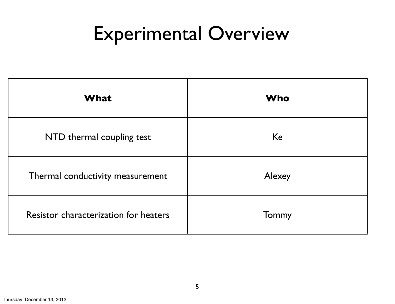# Experimental Overview

| <b>What</b>                           | <b>Who</b> |
|---------------------------------------|------------|
| NTD thermal coupling test             | Ke         |
| Thermal conductivity measurement      | Alexey     |
| Resistor characterization for heaters | Tommy      |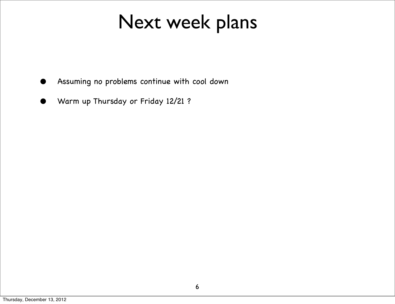## Next week plans

- Assuming no problems continue with cool down
- Warm up Thursday or Friday 12/21 ?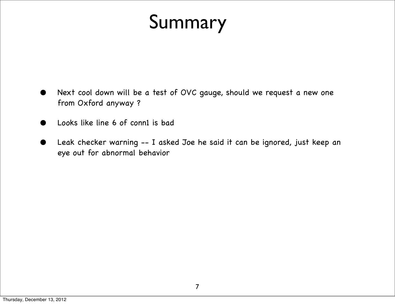# Summary

- Next cool down will be a test of OVC gauge, should we request a new one from Oxford anyway ?
- Looks like line 6 of conn1 is bad
- Leak checker warning -- I asked Joe he said it can be ignored, just keep an eye out for abnormal behavior